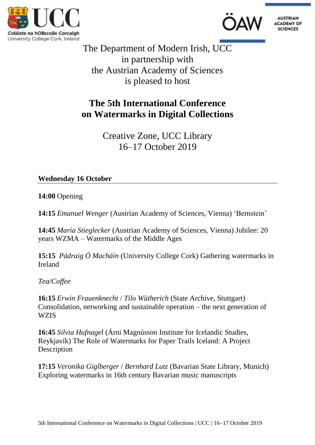





The Department of Modern Irish, UCC in partnership with the Austrian Academy of Sciences is pleased to host

# **The 5th International Conference on Watermarks in Digital Collections**

Creative Zone, UCC Library 16–17 October 2019

**Wednesday 16 October**

**14:00** Opening

**14:15** *Emanuel Wenger* (Austrian Academy of Sciences, Vienna) 'Bernstein'

**14:45** *Maria Stieglecker* (Austrian Academy of Sciences, Vienna) Jubilee: 20 years WZMA – Watermarks of the Middle Ages

**15:15** *Pádraig Ó Macháin* (University College Cork) Gathering watermarks in Ireland

*Tea/Coffee*

**16:15** *Erwin Frauenknecht* / *Tilo Wütherich* (State Archive, Stuttgart) Consolidation, networking and sustainable operation – the next generation of **WZIS** 

**16:45** *Silvia Hufnagel* (Árni Magnússon Institute for Icelandic Studies, Reykjavík) The Role of Watermarks for Paper Trails Iceland: A Project **Description** 

**17:15** *Veronika Giglberger* / *Bernhard Lutz* (Bavarian State Library, Munich) Exploring watermarks in 16th century Bavarian music manuscripts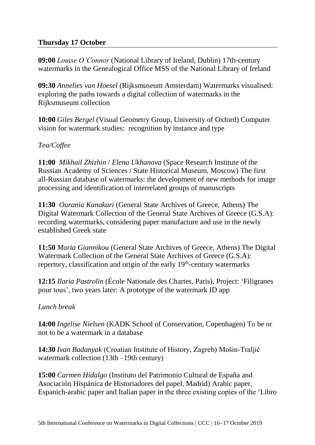## **Thursday 17 October**

**09:00** *Louise O'Connor* (National Library of Ireland, Dublin) 17th-century watermarks in the Genealogical Office MSS of the National Library of Ireland

**09:30** *Annelies van Hoesel* (Rijksmuseum Amsterdam) Watermarks visualised: exploring the paths towards a digital collection of watermarks in the Rijksmuseum collection

**10:00** *Giles Bergel* (Visual Geometry Group, University of Oxford) Computer vision for watermark studies: recognition by instance and type

### *Tea/Coffee*

**11:00** *Mikhail Zhizhin* / *Elena Ukhanova* (Space Research Institute of the Russian Academy of Sciences / State Historical Museum, Moscow) The first all-Russian database of watermarks: the development of new methods for image processing and identification of interrelated groups of manuscripts

**11:30** *Ourania Kanakari* (General State Archives of Greece, Athens) The Digital Watermark Collection of the General State Archives of Greece (G.S.A): recording watermarks, considering paper manufacture and use in the newly established Greek state

**11:50** *Maria Giannikou* (General State Archives of Greece, Athens) The Digital Watermark Collection of the General State Archives of Greece (G.S.A): repertory, classification and origin of the early 19<sup>th</sup>-century watermarks

**12:15** *Ilaria Pastrolin* (École Nationale des Chartes, Paris), Project: 'Filigranes pour tous', two years later: A prototype of the watermark ID app

#### *Lunch break*

**14:00** *Ingelise Nielsen* (KADK School of Conservation, Copenhagen) To be or not to be a watermark in a database

**14:30** *Ivan Badanyak* (Croatian Institute of History, Zagreb) Mošin-Traljić watermark collection (13th –19th century)

**15:00** *Carmen Hidalgo* (Instituto del Patrimonio Cultural de España and Asociación Hispánica de Historiadores del papel, Madrid) Arabic paper, Espanich-arabic paper and Italian paper in the three existing copies of the 'Libro